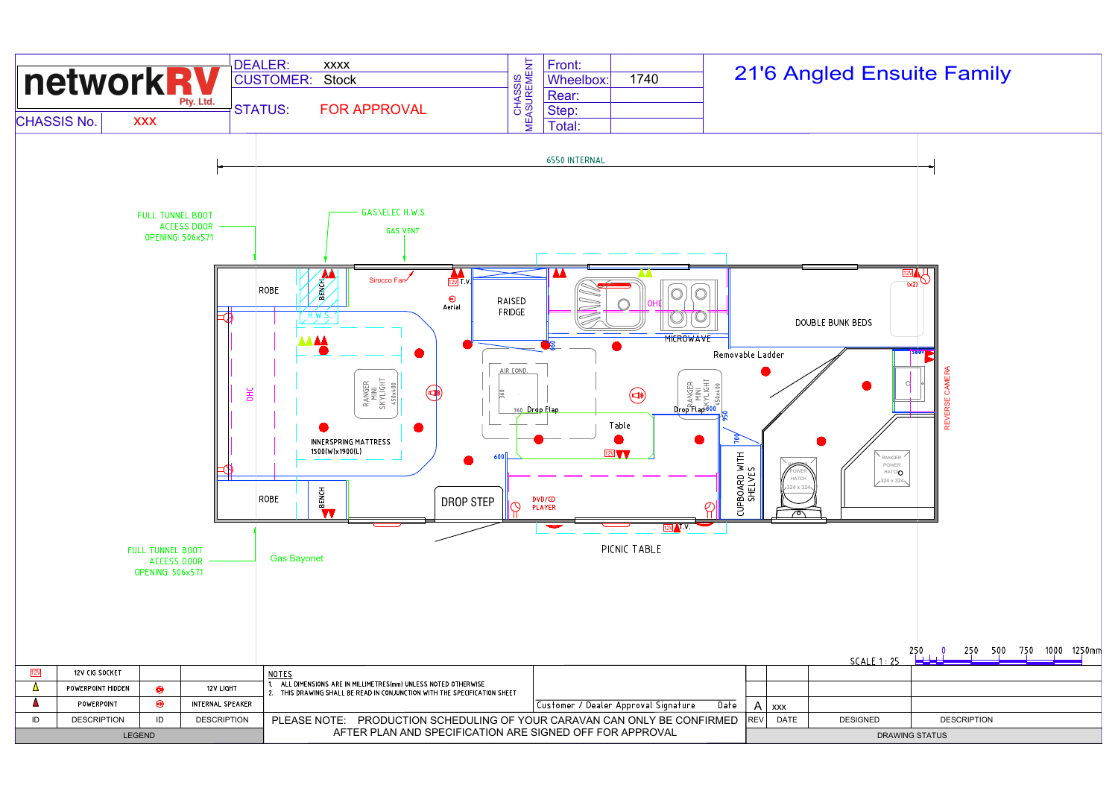